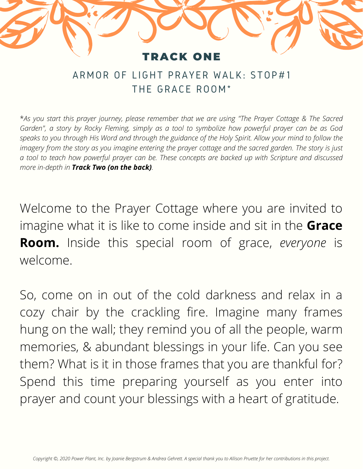## **RACK ONE**

## ARMOR OF LIGHT PRAYER WALK: STOP#1 THE GRACE ROOM\*

\**As you start this prayer journey, please remember that we are using "The Prayer Cottage & The Sacred Garden", a story by Rocky Fleming, simply as a tool to symbolize how powerful prayer can be as God speaks to you through His Word and through the guidance of the Holy Spirit. Allow your mind to follow the imagery from the story as you imagine entering the prayer cottage and the sacred garden. The story is just a tool to teach how powerful prayer can be. These concepts are backed up with Scripture and discussed more in-depth in Track Two (on the back).*

Welcome to the Prayer Cottage where you are invited to imagine what it is like to come inside and sit in the **Grace Room.** Inside this special room of grace, *everyone* is welcome.

So, come on in out of the cold darkness and relax in a cozy chair by the crackling fire. Imagine many frames hung on the wall; they remind you of all the people, warm memories, & abundant blessings in your life. Can you see them? What is it in those frames that you are thankful for? Spend this time preparing yourself as you enter into prayer and count your blessings with a heart of gratitude.